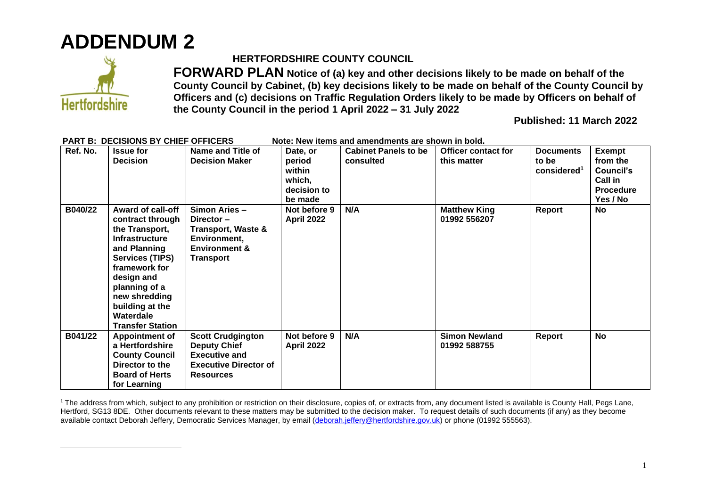



## **HERTFORDSHIRE COUNTY COUNCIL**

**FORWARD PLAN Notice of (a) key and other decisions likely to be made on behalf of the County Council by Cabinet, (b) key decisions likely to be made on behalf of the County Council by Officers and (c) decisions on Traffic Regulation Orders likely to be made by Officers on behalf of the County Council in the period 1 April 2022 – 31 July 2022**

**Published: 11 March 2022**

| Ref. No. | <b>Issue for</b><br><b>Decision</b>                                                                                                                                                                                                                           | Name and Title of<br><b>Decision Maker</b>                                                                                  | Date, or<br>period<br>within<br>which,<br>decision to<br>be made | <b>Cabinet Panels to be</b><br>consulted | <b>Officer contact for</b><br>this matter | <b>Documents</b><br>to be<br>considered <sup>1</sup> | <b>Exempt</b><br>from the<br>Council's<br><b>Call in</b><br><b>Procedure</b><br>Yes / No |
|----------|---------------------------------------------------------------------------------------------------------------------------------------------------------------------------------------------------------------------------------------------------------------|-----------------------------------------------------------------------------------------------------------------------------|------------------------------------------------------------------|------------------------------------------|-------------------------------------------|------------------------------------------------------|------------------------------------------------------------------------------------------|
| B040/22  | <b>Award of call-off</b><br>contract through<br>the Transport,<br><b>Infrastructure</b><br>and Planning<br><b>Services (TIPS)</b><br>framework for<br>design and<br>planning of a<br>new shredding<br>building at the<br>Waterdale<br><b>Transfer Station</b> | Simon Aries -<br>Director-<br><b>Transport, Waste &amp;</b><br>Environment,<br><b>Environment &amp;</b><br><b>Transport</b> | Not before 9<br>April 2022                                       | N/A                                      | <b>Matthew King</b><br>01992 556207       | Report                                               | No                                                                                       |
| B041/22  | <b>Appointment of</b><br>a Hertfordshire<br><b>County Council</b><br>Director to the<br><b>Board of Herts</b><br>for Learning                                                                                                                                 | <b>Scott Crudgington</b><br><b>Deputy Chief</b><br><b>Executive and</b><br><b>Executive Director of</b><br><b>Resources</b> | Not before 9<br><b>April 2022</b>                                | N/A                                      | <b>Simon Newland</b><br>01992 588755      | Report                                               | <b>No</b>                                                                                |

## **PART B: DECISIONS BY CHIEF OFFICERS** Note: New items and amendments are shown in bold.

<sup>1</sup> The address from which, subject to any prohibition or restriction on their disclosure, copies of, or extracts from, any document listed is available is County Hall, Pegs Lane, Hertford, SG13 8DE. Other documents relevant to these matters may be submitted to the decision maker. To request details of such documents (if any) as they become available contact Deborah Jeffery, Democratic Services Manager, by email [\(deborah.jeffery@hertfordshire.gov.uk\)](mailto:deborah.jeffery@hertfordshire.gov.uk) or phone (01992 555563).